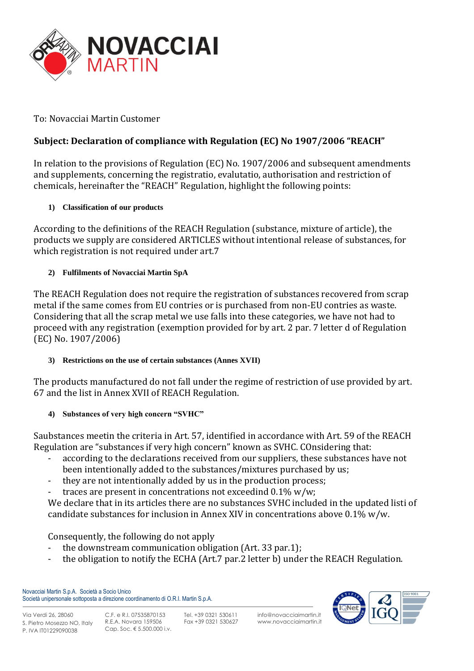

To: Novacciai Martin Customer

# **Subject: Declaration of compliance with Regulation (EC) No 1907/2006 "REACH"**

In relation to the provisions of Regulation (EC) No. 1907/2006 and subsequent amendments and supplements, concerning the registratio, evalutatio, authorisation and restriction of chemicals, hereinafter the "REACH" Regulation, highlight the following points:

### **1) Classification of our products**

According to the definitions of the REACH Regulation (substance, mixture of article), the products we supply are considered ARTICLES without intentional release of substances, for which registration is not required under art.7

### **2) Fulfilments of Novacciai Martin SpA**

The REACH Regulation does not require the registration of substances recovered from scrap metal if the same comes from EU contries or is purchased from non-EU contries as waste. Considering that all the scrap metal we use falls into these categories, we have not had to proceed with any registration (exemption provided for by art. 2 par. 7 letter d of Regulation (EC) No. 1907/2006)

#### **3) Restrictions on the use of certain substances (Annes XVII)**

The products manufactured do not fall under the regime of restriction of use provided by art. 67 and the list in Annex XVII of REACH Regulation.

## **4) Substances of very high concern "SVHC"**

Saubstances meetin the criteria in Art. 57, identified in accordance with Art. 59 of the REACH Regulation are "substances if very high concern" known as SVHC. COnsidering that:

- according to the declarations received from our suppliers, these substances have not been intentionally added to the substances/mixtures purchased by us;
- they are not intentionally added by us in the production process;
- traces are present in concentrations not exceedind  $0.1\%$  w/w;

We declare that in its articles there are no substances SVHC included in the updated listi of candidate substances for inclusion in Annex XIV in concentrations above 0.1% w/w.

Consequently, the following do not apply

- the downstream communication obligation (Art. 33 par.1);
- the obligation to notify the ECHA (Art.7 par.2 letter b) under the REACH Regulation.

Novacciai Martin S.p.A. Società a Socio Unico Società unipersonale sottoposta a direzione coordinamento di O.R.I. Martin S.p.A.



Via Verdi 26, 28060 S. Pietro Mosezzo NO, Italy P. IVA IT01229090038

Tel. +39 0321 530611 Fax +39 0321 530627